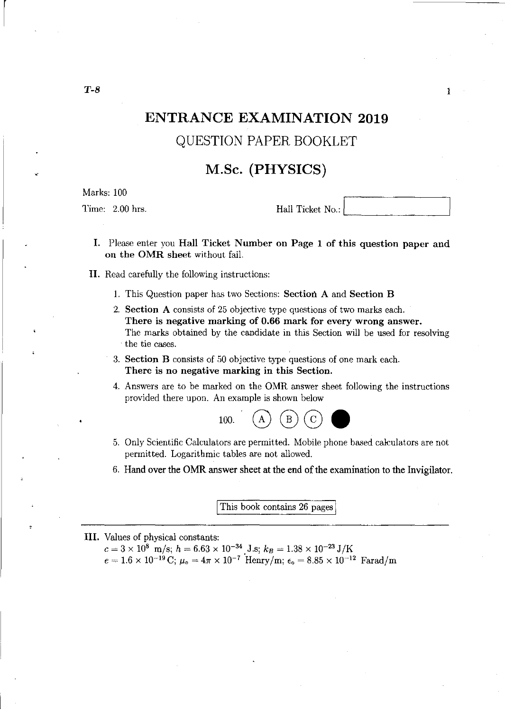# **ENTRANCE EXAMINATION 2019**  QUESTION PAPER BOOKLET

## **M.Sc. (PHYSICS)**

Marks: 100

Time: 2.00 hrs. Hall Ticket No.:

1

- I. Please enter you Hall Ticket Number on Page 1 of this question paper and on the OMR sheet without fail.
- II. Read carefully the following instructions:
	- 1. This Question paper has two Sections: Section A and Section B
	- 2. Section A consists of 25 objective type questions of two marks each. There is negative marking of 0.66 mark for every wrong answer. The marks obtained by the candidate in this Section will be used for resolving . the tie cases.
	- 3. Section B consists of 50 objective type questions of one mark each. There is no negative marking in this Section.
	- 4. Answers are to be marked on the OMR answer sheet following the instructions provided there upon. An example is shown below



- 5. Only Scientific Calculators are permitted. Mobile phone based calculators are not permitted. Logarithmic tables are not allowed.
- 6. Hand over the OMR answer sheet at the end of the examination to the Invigilator.

This book contains 26 pages

**III.** Values of physical constants:

 $c = 3 \times 10^8$  m/s;  $h = 6.63 \times 10^{-34}$  J.s;  $k_B = 1.38 \times 10^{-23}$  J/K  $e = 1.6 \times 10^{-19} \text{ C}; \ \mu_{\text{o}} = 4\pi \times 10^{-7} \text{ Henry/m}; \ \epsilon_{\text{o}} = 8.85 \times 10^{-12} \text{ Farad/m}$ 

T-8

 $\vert$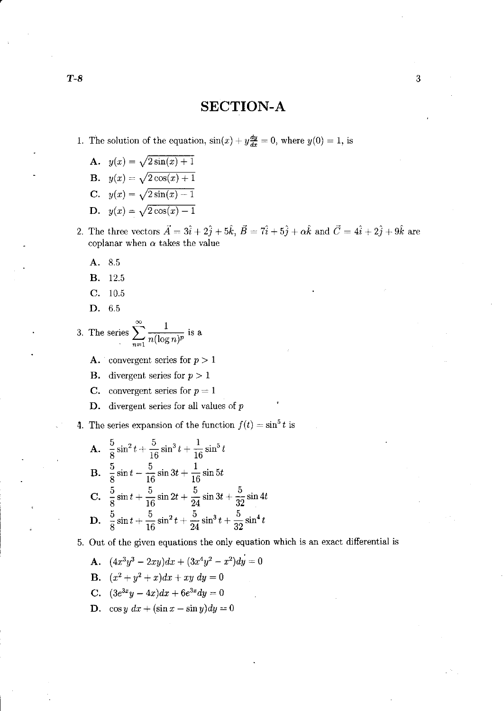### **SECTION-A**

- 1. The solution of the equation,  $sin(x) + y\frac{dy}{dx} = 0$ , where  $y(0) = 1$ , is
	- A.  $y(x) = \sqrt{2\sin(x) + 1}$
	- **B.**  $y(x) = \sqrt{2\cos(x) + 1}$
	- **C.**  $y(x) = \sqrt{2\sin(x) 1}$
	- D.  $y(x) = \sqrt{2\cos(x) 1}$
- 2. The three vectors  $\vec{A} = 3\hat{i} + 2\hat{j} + 5\hat{k}$ ,  $\vec{B} = 7\hat{i} + 5\hat{j} + \alpha\hat{k}$  and  $\vec{C} = 4\hat{i} + 2\hat{j} + 9\hat{k}$  are coplanar when  $\alpha$  takes the value
	- A. 8.5
	- B. 12.5
	- C. 10.5
	- D. 6.5
- 3. The series  $\sum_{n=1}^{\infty} \frac{1}{n (\log n)^p}$  is a
	- A. convergent series for  $p > 1$
	- **B.** divergent series for  $p > 1$
	- C. convergent series for  $p = 1$
	- D. divergent series for all values of  $p$

4. The series expansion of the function  $f(t) = \sin^5 t$  is

**A.** 
$$
\frac{5}{8} \sin^2 t + \frac{5}{16} \sin^3 t + \frac{1}{16} \sin^5 t
$$
  
\n**B.**  $\frac{5}{8} \sin t - \frac{5}{16} \sin 3t + \frac{1}{16} \sin 5t$   
\n**C.**  $\frac{5}{8} \sin t + \frac{5}{16} \sin 2t + \frac{5}{24} \sin 3t + \frac{5}{32} \sin 4t$   
\n**D.**  $\frac{5}{8} \sin t + \frac{5}{16} \sin^2 t + \frac{5}{24} \sin^3 t + \frac{5}{32} \sin^4 t$ 

#### 5. Out of the given equations the only equation which is an exact differential is

- A.  $(4x^3y^3 2xy)dx + (3x^4y^2 x^2)dy = 0$ B.  $(x^2 + y^2 + x)dx + xy dy = 0$
- C.  $(3e^{3x}y 4x)dx + 6e^{3x}dy = 0$
- **D.**  $\cos y \, dx + (\sin x \sin y)dy = 0$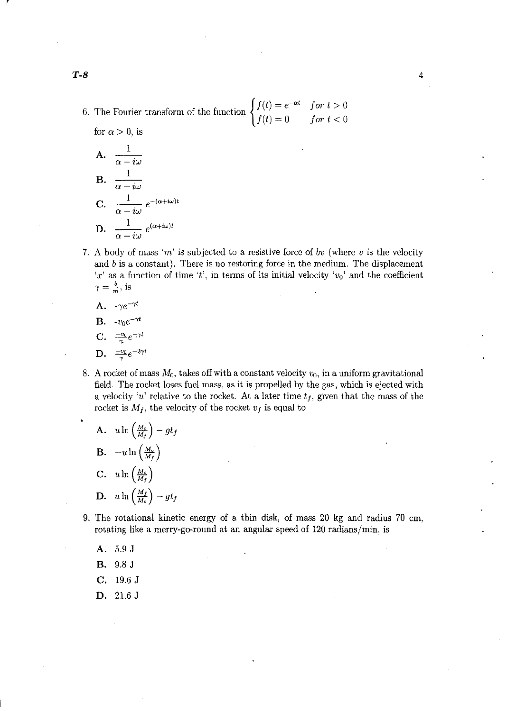- 6. The Fourier transform of the function *{* for  $\alpha > 0$ , is  $f(t) = e^{-\alpha t}$  $f(t)=0$  $for t > 0$ *for*  $t < 0$ 
	- **A.**  $\frac{1}{\alpha i\omega}$ **B.**  $\frac{1}{\alpha + i\omega}$  $C. \frac{1}{1}$  $\frac{1}{\alpha - i\omega} e^{-(\alpha + i\omega)t}$ **D.**  $\frac{1}{\alpha + i\omega}$  $e^{(\alpha+i\omega)t}$
- 7. A body of mass *em'* is subjected to a resistive force of *bv* (where *v* is the velocity and  $b$  is a constant). There is no restoring force in the medium. The displacement 'x' as a function of time 't', in terms of its initial velocity ' $v_0$ ' and the coefficient  $\gamma=\frac{b}{m}$ , is

4

- **A.**  $-\gamma e^{-\gamma t}$
- **B.**  $-v_0e^{-\gamma t}$
- $\mathbf{C}. \quad \frac{-v_0}{\gamma}e^{-\gamma t}$
- $\mathbf{D.}$   $\frac{-v_0}{\gamma}e^{-2\gamma t}$
- 8. A rocket of mass  $M_0$ , takes off with a constant velocity  $v_0$ , in a uniform gravitational field. The rocket loses fuel mass, as it is propelled by the gas, which is ejected with a velocity 'u' relative to the rocket. At a later time  $t_f$ , given that the mass of the rocket is  $M_f$ , the velocity of the rocket  $v_f$  is equal to

**A.** 
$$
u \ln \left(\frac{M_o}{M_f}\right) - gt_f
$$
  
\n**B.**  $-u \ln \left(\frac{M_o}{M_f}\right)$   
\n**C.**  $u \ln \left(\frac{M_o}{M_f}\right)$   
\n**D.**  $u \ln \left(\frac{M_f}{M_o}\right) - gt_f$ 

- 9. The rotational kinetic energy of a thin disk, of mass 20 kg and radius 70 em, rotating like a merry-go-round at an angular speed of 120 radians/min, is
	- **A.** 5.9 J
	- **B.** 9.8 J
	- **C.** 19.6 J
	- **D.** 21.6 J

r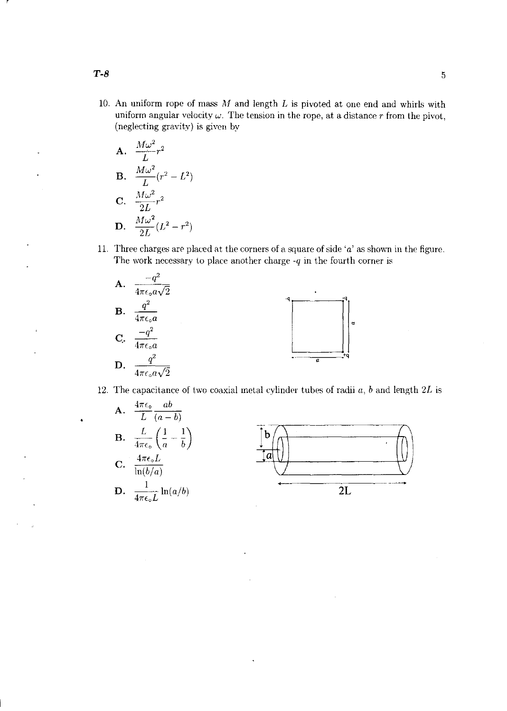10. An uniform rope of mass  $M$  and length  $L$  is pivoted at one end and whirls with uniform angular velocity  $\omega$ . The tension in the rope, at a distance r from the pivot, (neglecting gravity) is given by

A. 
$$
\frac{M\omega^2}{L}r^2
$$
  
\nB. 
$$
\frac{M\omega^2}{L}(r^2 - L^2)
$$
  
\nC. 
$$
\frac{M\omega^2}{2L}r^2
$$
  
\nD. 
$$
\frac{M\omega^2}{2L}(L^2 - r^2)
$$

11. Three charges are placed at the corners of a square of side 'a' as shown in the figure. The work necessary to place another charge *-q* in the fourth corner is



12. The capacitance of two coaxial metal cylinder tubes of radii *a, b* and length *2L* is



*T-8* 5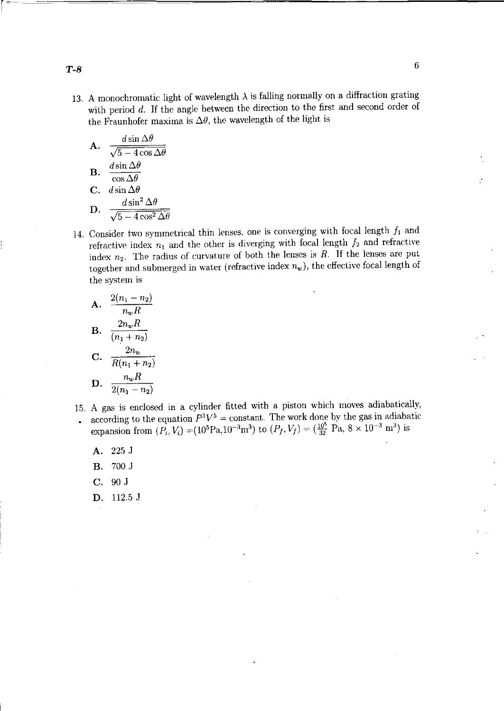13. A monochromatic light of wavelength  $\lambda$  is falling normally on a diffraction grating with period *d*. If the angle between the direction to the first and second order of the Fraunhofer maxima is  $\Delta\theta$ , the wavelength of the light is

**A.** 
$$
\frac{d \sin \Delta \theta}{\sqrt{5 - 4 \cos \Delta \theta}}
$$
  
\n**B.** 
$$
\frac{d \sin \Delta \theta}{\cos \Delta \theta}
$$
  
\n**C.** 
$$
d \sin \Delta \theta
$$
  
\n**D.** 
$$
\frac{d \sin^2 \Delta \theta}{\sqrt{5 - 4 \cos^2 \Delta \theta}}
$$

14. Consider two symmetrical thin lenses, one is converging with focal length  $f_1$  and refractive index  $n_1$  and the other is diverging with focal length  $f_2$  and refractive index  $n_2$ . The radius of curvature of both the lenses is *R*. If the lenses are put together and submerged in water (refractive index  $n_w$ ), the effective focal length of the system is

A. 
$$
\frac{2(n_1 - n_2)}{n_w R}
$$
  
B. 
$$
\frac{2n_w R}{(n_1 + n_2)}
$$
  
C. 
$$
\frac{2n_w}{R(n_1 + n_2)}
$$
  
D. 
$$
\frac{n_w R}{2(n_1 - n_2)}
$$

- 15. A gas is enclosed in a cylinder fitted with a piston which moves adiabatically, according to the equation  $P^3V^5$  = constant. The work done by the gas in adiabatic  $\ddot{\phantom{a}}$ expansion from  $(P_i, V_i) = (10^5 \text{Pa}, 10^{-3} \text{m}^3)$  to  $(P_f, V_f) = (\frac{10^5}{32} \text{ Pa}, 8 \times 10^{-3} \text{ m}^3)$  is
	- A. 225 J
	- B. 700 J
	- C. 90 J
	- D. 112.5 J

*T-8* <sup>6</sup>

r~-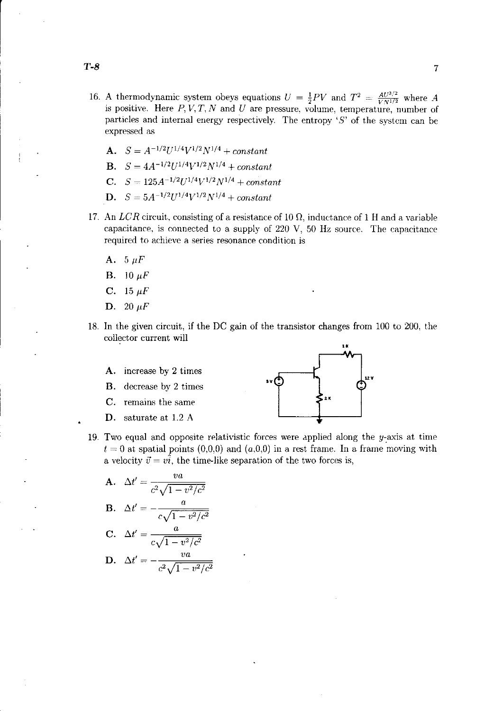- 16. A thermodynamic system obeys equations  $U = \frac{1}{2}PV$  and  $T^2 = \frac{AU^{3/2}}{VN^{1/2}}$  where A is positive. Here  $P, V, T, N$  and U are pressure, volume, temperature, number of particles and internal energy respectively. The entropy ' $S$ ' of the system can be expressed as
	- A.  $S = A^{-1/2}U^{1/4}V^{1/2}N^{1/4} + constant$
	- **B.**  $S = 4A^{-1/2}U^{1/4}V^{1/2}N^{1/4} + constant$
	- C.  $S = 125A^{-1/2}U^{1/4}V^{1/2}N^{1/4} + constant$
	- **D.**  $S = 5A^{-1/2}U^{1/4}V^{1/2}N^{1/4} + constant$
- 17. An *LCR* circuit, consisting of a resistance of 10  $\Omega$ , inductance of 1 H and a variable capacitance, is connected to a supply of  $220 \text{ V}$ ,  $50 \text{ Hz}$  source. The capacitance required to achieve a series resonance condition is
	- A.  $5 \mu F$
	- **B.** 10  $\mu$ F
	- **C.** 15  $\mu$ F
	- **D.** 20  $\mu$ F
- 18. In the given circuit, if the DC gain of the transistor changes from 100 to 200, the



- 
- C. remains the same
- D. saturate at 1.2 A



19. Two equal and opposite relativistic forces were applied along the  $y$ -axis at time  $t = 0$  at spatial points  $(0,0,0)$  and  $(a,0,0)$  in a rest frame. In a frame moving with a velocity  $\vec{v} = v\hat{i}$ , the time-like separation of the two forces is,

**A.** 
$$
\Delta t' = \frac{va}{c^2 \sqrt{1 - v^2/c^2}}
$$
**B.** 
$$
\Delta t' = -\frac{a}{c\sqrt{1 - v^2/c^2}}
$$

$$
C. \quad \Delta t' = \frac{a}{c\sqrt{1 - v^2/c^2}}
$$

**D.** 
$$
\Delta t' = -\frac{va}{c^2 \sqrt{1 - v^2/c^2}}
$$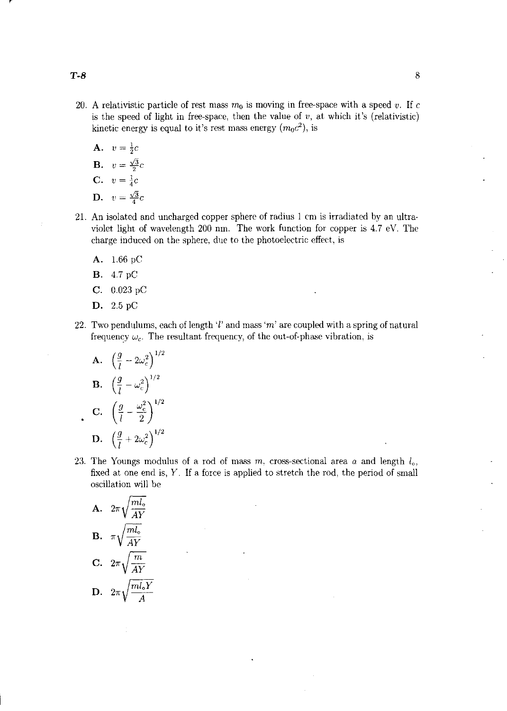- 20. A relativistic particle of rest mass  $m_0$  is moving in free-space with a speed *v*. If c is the speed of light in free-space, then the value of  $v$ , at which it's (relativistic) kinetic energy is equal to it's rest mass energy  $(m_0c^2)$ , is
	- A.  $v = \frac{1}{2}c$ **B.**  $v = \frac{\sqrt{3}}{2}c$ **C.**  $v = \frac{1}{4}c$ D.  $v=\frac{\sqrt{3}}{4}c$
- 21. An isolated and uncharged copper sphere of radius 1 em is irradiated by an ultraviolet light of wavelength 200 nm. The work function for copper is 4.7 eV. The charge induced on the sphere, due to the photoelectric effect, is
	- A. 1.66 pC
	- B. 4.7 pC
	- C. 0.023 pC
	- D. 2.5 pC
- 22. Two pendulums, each of length 'I' and mass *'rn'* are coupled with a spring of natural frequency  $\omega_c$ . The resultant frequency, of the out-of-phase vibration, is

**A.** 
$$
\left(\frac{g}{l} - 2\omega_c^2\right)^{1/2}
$$
  
\n**B.**  $\left(\frac{g}{l} - \omega_c^2\right)^{1/2}$   
\n**C.**  $\left(\frac{g}{l} - \frac{\omega_c^2}{2}\right)^{1/2}$   
\n**D.**  $\left(\frac{g}{l} + 2\omega_c^2\right)^{1/2}$ 

23. The Youngs modulus of a rod of mass  $m$ , cross-sectional area  $a$  and length  $l_{\alpha}$ , fixed at one end is, Y. If a force is applied to stretch the rod, the period of small oscillation will be

A.  $2\pi\sqrt{\frac{ml_o}{AY}}$ **B.**  $\pi \sqrt{\frac{ml_o}{AY}}$ C.  $2\pi\sqrt{\frac{m}{AY}}$ D.  $2\pi\sqrt{\frac{ml_oY}{A}}$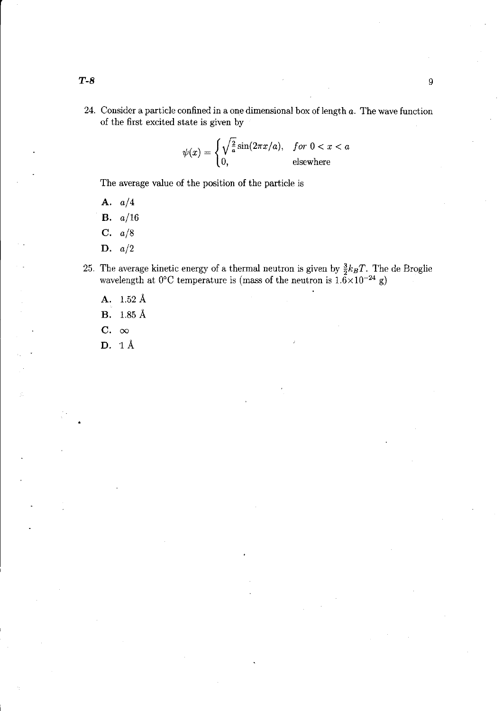24. Consider a particle confined in a one dimensional box of length *a.* The wave function of the first excited state is given by

$$
\psi(x) = \begin{cases} \sqrt{\frac{2}{a}} \sin(2\pi x/a), & \text{for } 0 < x < a \\ 0, & \text{elsewhere} \end{cases}
$$

The average value of the position of the particle is

A. *a/4* 

B. *a/16* 

C. *a/8* 

- D. *a/2*
- 25. The average kinetic energy of a thermal neutron is given by  $\frac{3}{2}k_BT$ . The de Broglie wavelength at  $0^{\circ}$ C temperature is (mass of the neutron is  $1.6 \times 10^{-24}$  g)
	- A. 1.52 A

B. 1.85 A

- C.  $\infty$
- $D. 1 \text{Å}$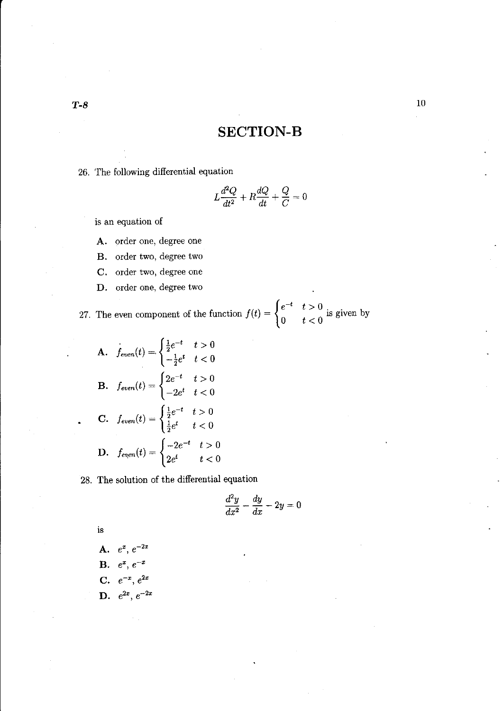## **SECTION-B**

26. The following differential equation

$$
L\frac{d^2Q}{dt^2} + R\frac{dQ}{dt} + \frac{Q}{C} = 0
$$

is an equation of

A. order one, degree one

- B. order two, degree two
- C. order two, degree one
- D. order one, degree two

27. The even component of the function  $f(t) = \begin{cases} e^{-t} & t > 0 \\ 0 & t > 0 \end{cases}$  is given by  $t < 0$  is given by

**A.** 
$$
f_{even}(t) = \begin{cases} \frac{1}{2}e^{-t} & t > 0 \\ -\frac{1}{2}e^{t} & t < 0 \end{cases}
$$
  
\n**B.**  $f_{even}(t) = \begin{cases} 2e^{-t} & t > 0 \\ -2e^{t} & t < 0 \end{cases}$   
\n**C.**  $f_{even}(t) = \begin{cases} \frac{1}{2}e^{-t} & t > 0 \\ \frac{1}{2}e^{t} & t < 0 \end{cases}$   
\n**D.**  $f_{even}(t) = \begin{cases} -2e^{-t} & t > 0 \\ 2e^{t} & t < 0 \end{cases}$ 

28. The solution of the differential equation

$$
\frac{d^2y}{dx^2} - \frac{dy}{dx} - 2y = 0
$$

is

A.  $e^x$ ,  $e^{-2x}$ **B.**  $e^x$ ,  $e^{-x}$ C. D.  $e^{-x}$ ,  $e^{2x}$  $e^{2x}$ ,  $e^{-2x}$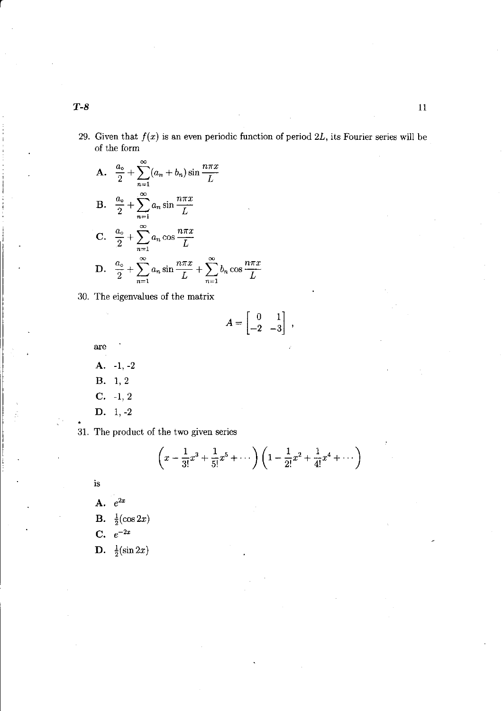29. Given that *f(x)* is an even periodic function of period *2L,* its Fourier series will be of the form

**A.** 
$$
\frac{a_{\circ}}{2} + \sum_{n=1}^{\infty} (a_n + b_n) \sin \frac{n \pi x}{L}
$$
  
\n**B.** 
$$
\frac{a_{\circ}}{2} + \sum_{n=1}^{\infty} a_n \sin \frac{n \pi x}{L}
$$
  
\n**C.** 
$$
\frac{a_{\circ}}{2} + \sum_{n=1}^{\infty} a_n \cos \frac{n \pi x}{L}
$$
  
\n**D.** 
$$
\frac{a_{\circ}}{2} + \sum_{n=1}^{\infty} a_n \sin \frac{n \pi x}{L} + \sum_{n=1}^{\infty} b_n \cos \frac{n \pi x}{L}
$$

30. The eigenvalues of the matrix

$$
A = \begin{bmatrix} 0 & 1 \\ -2 & -3 \end{bmatrix} ,
$$

are

- A. -1, -2
- B. 1,2
- $C. -1, 2$
- D. 1, -2
- 31. The product of the two given series

$$
\left(x-\frac{1}{3!}x^3+\frac{1}{5!}x^5+\cdots\right)\left(1-\frac{1}{2!}x^2+\frac{1}{4!}x^4+\cdots\right)
$$

is

A.  $e^{2x}$ **B.**  $\frac{1}{2}(\cos 2x)$ 

- **C.**  $e^{-2x}$
- **D.**  $\frac{1}{2}(\sin 2x)$

r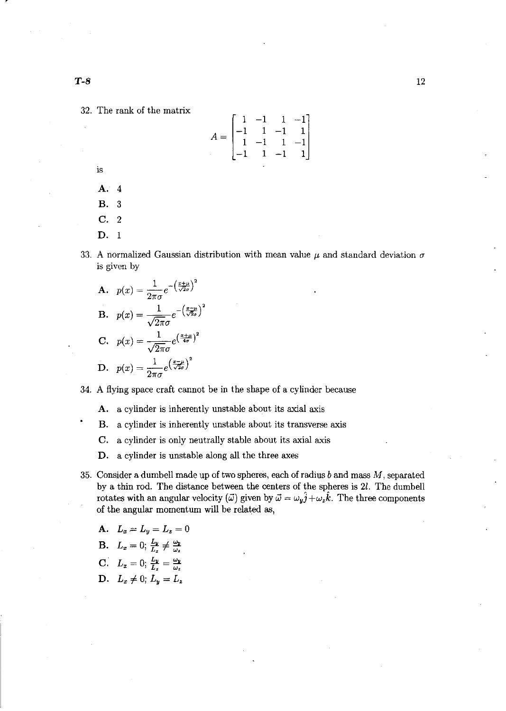32. The rank of the matrix

$$
A = \begin{bmatrix} 1 & -1 & 1 & -1 \\ -1 & 1 & -1 & 1 \\ 1 & -1 & 1 & -1 \\ -1 & 1 & -1 & 1 \end{bmatrix}
$$

is

**A.** 4

**B.** 3 **C.** 2

**D.** 1

- 33. A normalized Gaussian distribution with mean value  $\mu$  and standard deviation  $\sigma$ is given by
	- ${\bf A.} \quad p(x) = \frac{1}{1-e^{-\left(\frac{x+\mu}{\sqrt{2}\sigma}\right)^2}}$  $2\pi\sigma$ **1**.  $p(x) = \frac{1}{\sqrt{2\pi}\sigma} e^{-\left(\frac{x-\mu}{\sqrt{2}\sigma}\right)^2}$  $\mathbf{C.} \quad p(x) = \frac{1}{\sqrt{2\pi}\sigma} e^{\left(\frac{x+\mu}{4\sigma}\right)^2}$  $\mathbf{D.} \quad p(x) = \frac{1}{2\pi\sigma} e^{\left(\frac{x-\mu}{\sqrt{2}\sigma}\right)^2}$

34. A flying space craft cannot be in the shape of a cylinder because

**A.** a cylinder is inherently unstable about its axial axis

**B.** a cylinder is inherently unstable about its transverse axis

**C.** a cylinder is only neutrally stable about its axial axis

**D.** a cylinder is unstable along all the three axes

35. Consider a dumbell made **up** of two spheres, each of radius *b* and mass *M,* separated by a thin rod. The distance between the centers of the spheres is 21. The dumbell rotates with an angular velocity ( $\vec{\omega}$ ) given by  $\vec{\omega} = \omega_y \hat{j} + \omega_z \hat{k}$ . The three components of the angular momentum will be related as,

A. 
$$
L_x = L_y = L_z = 0
$$
\nB.  $L_x = 0$ ;  $\frac{L_y}{L_z} \neq \frac{\omega_y}{\omega_z}$ \nC.  $L_x = 0$ ;  $\frac{L_y}{L_z} = \frac{\omega_y}{\omega_z}$ \nD.  $L_x \neq 0$ ;  $L_y = L_z$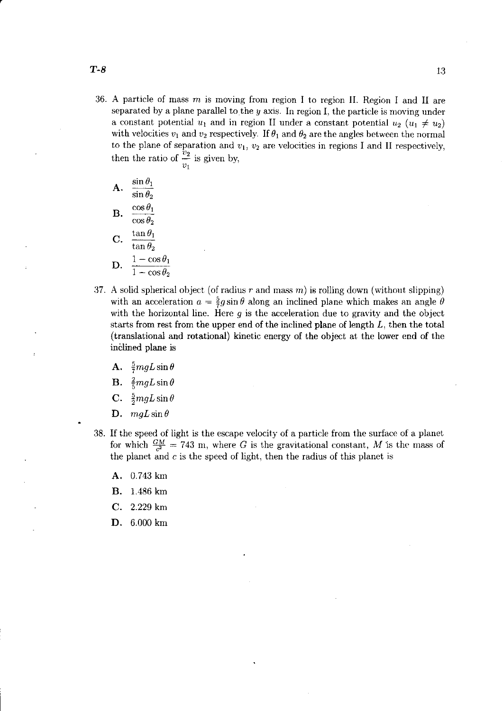- $T-8$ 
	- 36. A particle of mass  $m$  is moving from region I to region II. Region I and II are separated by a plane parallel to the *y* axis. In region I, the particle is moving under a constant potential  $u_1$  and in region II under a constant potential  $u_2$  ( $u_1 \neq u_2$ ) with velocities  $v_1$  and  $v_2$  respectively. If  $\theta_1$  and  $\theta_2$  are the angles between the normal to the plane of separation and  $v_1$ ,  $v_2$  are velocities in regions I and II respectively, then the ratio of  $\frac{v_2}{v_1}$  is given by,

**A.** 
$$
\frac{\sin \theta_1}{\sin \theta_2}
$$
  
\n**B.** 
$$
\frac{\cos \theta_1}{\cos \theta_2}
$$
  
\n**C.** 
$$
\frac{\tan \theta_1}{\tan \theta_2}
$$
  
\n**D.** 
$$
\frac{1 - \cos \theta_1}{1 - \cos \theta_2}
$$

- 37. A solid spherical object (of radius  $r$  and mass  $m$ ) is rolling down (without slipping) with an acceleration  $a = \frac{5}{7}g \sin \theta$  along an inclined plane which makes an angle  $\theta$ with the horizontal line. Here *9* is the acceleration due to gravity and the object starts from rest from the upper end of the inclined plane of length *L,* then the total (translational and rotational) kinetic energy of the object at the lower end of the inclined plane is
	- A.  $\frac{5}{7}mgL\sin\theta$
	- **B.**  $\frac{2}{5}mgL\sin\theta$
	- C.  $\frac{5}{2}mgL\sin\theta$
	- D.  $mgL \sin \theta$
- 38. If the speed of light is the escape velocity of a particle from the surface of a planet for which  $\frac{GM}{c^2} = 743$  m, where G is the gravitational constant, M is the mass of the planet and  $c$  is the speed of light, then the radius of this planet is
	- A. 0.743 km
	- B. l.486 km
	- C. 2.229 km
	- D. 6.000 km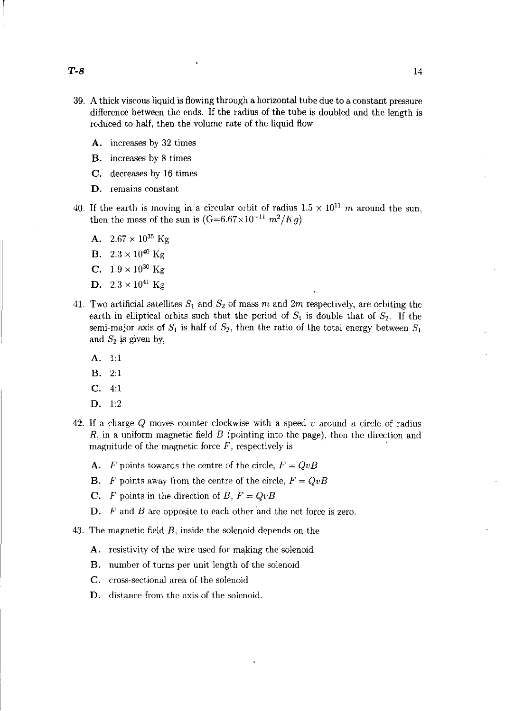$\begin{bmatrix} \phantom{-} \end{bmatrix}$ 

- 39. A thick viscous liquid is flowing through a horizontal tube due to a constant pressure difference between the ends. If the radius of the tube is doubled and the length is reduced to half, then the volume rate of the liquid flow
	- A. increases by 32 times
	- B. increases by 8 times
	- C. decreases by 16 times
	- D. remains constant
- 40. If the earth is moving in a circular orbit of radius  $1.5 \times 10^{11}$  m around the sun, then the mass of the sun is  $(G=6.67\times10^{-11} m^2/Kq)$ 
	- A.  $2.67 \times 10^{35}$  Kg
	- **B.**  $2.3 \times 10^{40}$  Kg
	- **C.**  $1.9 \times 10^{30}$  Kg
	- **D.**  $2.3 \times 10^{41}$  Kg
- 41. Two artificial satellites  $S_1$  and  $S_2$  of mass m and 2m respectively, are orbiting the earth in elliptical orbits such that the period of  $S_1$  is double that of  $S_2$ . If the semi-major axis of  $S_1$  is half of  $S_2$ , then the ratio of the total energy between  $S_1$ and  $S_2$  is given by,
	- A. 1:1
	- B. 2:1
	- C. 4:1
	- D. 1:2
- 42. If a charge Q moves counter clockwise with a speed *v* around a circle of radius *R,* in a uniform magnetic field *B* (pointing into the page), then the direction and magnitude of the magnetic force  $F$ , respectively is
	- A. *F* points towards the centre of the circle,  $F = QvB$
	- **B.** F points away from the centre of the circle,  $F = QvB$
	- C. *F* points in the direction of *B*,  $F = QvB$
	- D. F and B are opposite to each other and the net force is zero.

43. The magnetic field B, inside the solenoid depends on the

- A. resistivity of the wire used for making the solenoid
- B. number of turns per unit length of the solenoid
- C. cross-sectional area of the solenoid
- D. distance from the axis of the solenoid.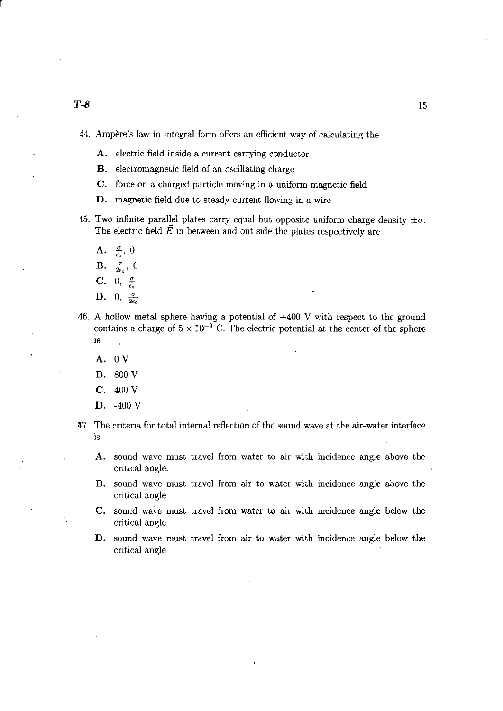r

- A. electric field inside a current carrying conductor
- B. electromagnetic field of an oscillating charge
- C. force on a charged particle moving in a uniform magnetic field
- **D.** magnetic field due to steady current flowing in a wire
- 45. Two infinite parallel plates carry equal but opposite uniform charge density  $\pm \sigma$ . The electric field  $\vec{E}$  in between and out side the plates respectively are
	- $\mathbf{A.}$   $\frac{\sigma}{\epsilon_o}, 0$
	- **B.**  $\frac{\sigma}{2\epsilon_0}$ , 0
	- **C.** 0,  $\frac{\sigma}{\epsilon_0}$
	- $\sum_{\epsilon_0}^{\infty}$ ,  $\sum_{\epsilon_0}^{\infty}$
- 46. A hollow metal sphere having a potential of +400 V with respect to the ground contains a charge of  $5 \times 10^{-9}$  C. The electric potential at the center of the sphere is
	- A. 0 V
	- B. 800 V
	- **C.** 400 V
	- **D.** -400 V
- 47. The criteria for total internal reflection of the sound wave at the air-water interface is
	- **A.** sound wave must travel from water to air with incidence angle above the critical angle.
	- **B.** sound wave must travel from air to water with incidence angle above the critical angle
	- **C.** sound wave must travel from water to air with incidence angle below the critical angle
	- **D.** sound wave must travel from air to water with incidence angle below the critical angle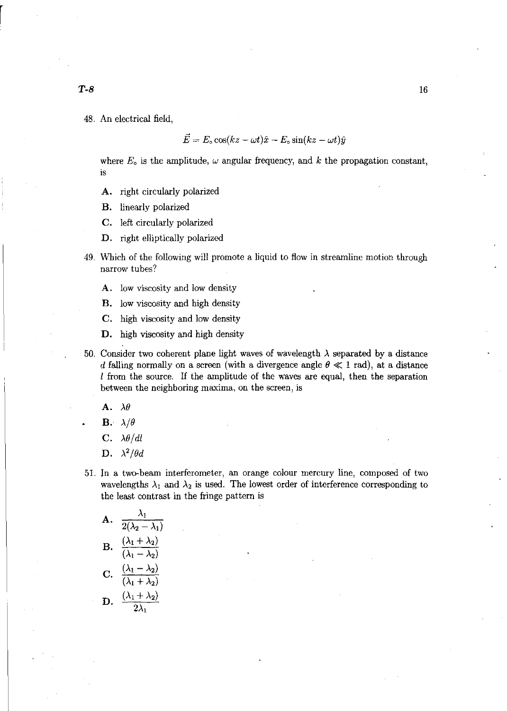48. An electrical field,

$$
\vec{E} = E_{\circ} \cos(kz - \omega t)\hat{x} - E_{\circ} \sin(kz - \omega t)\hat{y}
$$

where  $E_0$  is the amplitude,  $\omega$  angular frequency, and  $k$  the propagation constant, is

- A. right circularly polarized
- B. linearly polarized
- C. left circularly polarized
- D. right elliptically polarized
- 49. Which of the following will promote a liquid to flow in streamline motion through narrow tubes?
	- A. low viscosity and low density
	- B. low viscosity and high density
	- C. high viscosity and low density
	- D. high viscosity and high density
- 50. Consider two coherent plane light waves of wavelength  $\lambda$  separated by a distance d falling normally on a screen (with a divergence angle  $\theta \ll 1$  rad), at a distance  $l$  from the source. If the amplitude of the waves are equal, then the separation between the neighboring maxima, on the screen, is
	- A.  $\lambda \theta$
	- **B.**  $\lambda/\theta$
	- C.  $\lambda \theta / dl$
	- D.  $\lambda^2/\theta d$
- 51. In a two-beam interferometer, an orange colour mercury line, composed of two wavelengths  $\lambda_1$  and  $\lambda_2$  is used. The lowest order of interference corresponding to the least contrast in the fringe pattern is

A. 
$$
\frac{\lambda_1}{2(\lambda_2 - \lambda_1)}
$$
  
\nB. 
$$
\frac{(\lambda_1 + \lambda_2)}{(\lambda_1 - \lambda_2)}
$$
  
\nC. 
$$
\frac{(\lambda_1 - \lambda_2)}{(\lambda_1 + \lambda_2)}
$$
  
\nD. 
$$
\frac{(\lambda_1 + \lambda_2)}{2\lambda_1}
$$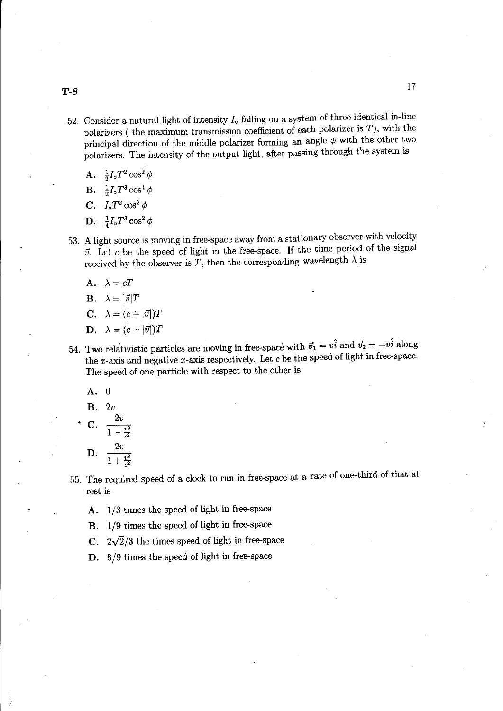- 52. Consider a natural light of intensity  $I_0$  falling on a system of three identical in-line polarizers ( the maximum transmission coefficient of each polarizer is  $T$ ), with the principal direction of the middle polarizer forming an angle  $\phi$  with the other two polarizers. The intensity of the output light, after passing through the system is
	- A.  $\frac{1}{2} I_o T^2 \cos^2 \phi$
	- **B.**  $\frac{1}{2}I_oT^3\cos^4\phi$
	- C.  $I_o T^2 \cos^2 \phi$
	- D.  $\frac{1}{4}I_oT^3\cos^2\phi$
- 53. A light source is moving in free-space away from a stationary observer with velocity  $\vec{v}$ . Let c be the speed of light in the free-space. If the time period of the signal received by the observer is  $T$ , then the corresponding wavelength  $\lambda$  is
	- A.  $\lambda = cT$
	- **B.**  $\lambda = |\vec{v}|T$

$$
C. \quad \lambda = (c + |\vec{v}|)T
$$

- **D.**  $\lambda = (c |\vec{v}|)T$
- 54. Two relativistic particles are moving in free-space with  $\vec{v}_1 = v\hat{i}$  and  $\vec{v}_2 = -v\hat{i}$  along the x-axis and negative x-axis respectively. Let  $c$  be the speed of light in free-space. The speed of one particle with respect to the other is
	- A. 0
	- B. *2v*
	- $C. \frac{2v}{\sqrt{2}}$  $\frac{v^2}{1 - \frac{v^2}{c^2}}$ **D.**  $\frac{2v}{1+v}$  $1+{1\over c^2}$

55. The required speed of a clock to run in free-space at a rate of one-third of that at rest is

- A. 1/3 times the speed of light in free-space
- B. 1/9 times the speed of light in free-space
- C.  $2\sqrt{2}/3$  the times speed of light in free-space
- D. 8/9 times the speed of light in free-space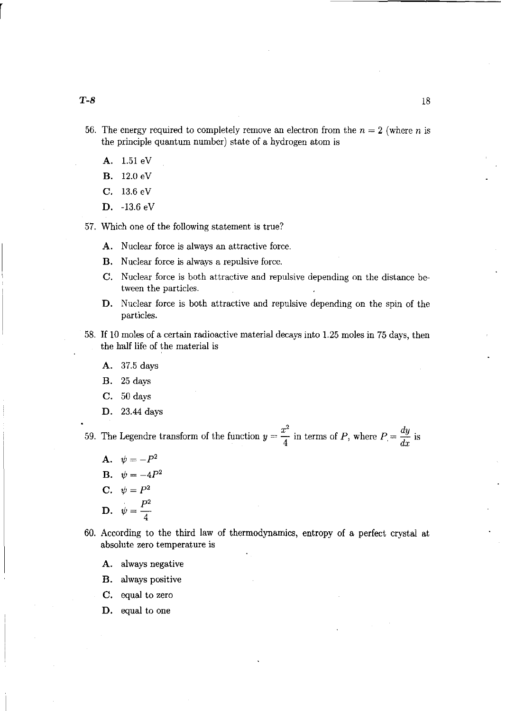- 56. The energy required to completely remove an electron from the  $n = 2$  (where *n* is the principle quantum number) state of a hydrogen atom is
	- A. 1.51 eV
	- **B.** 12.0 eV
	- C. 13.6 eV
	- **D.** -13.6 eV

57. Which one of the following statement is true?

- A. Nuclear force is always an attractive force.
- **B.** Nuclear force is always a repulsive force.
- C. Nuclear force is both attractive and repulsive depending on the distance between the particles.
- **D.** Nuclear force is both attractive and repulsive depending on the spin of the particles.
- 58. If 10 moles of a certain radioactive material decays into 1.25 moles in 75 days, then the half life of the material is
	- A. 37.5 days
	- **B.** 25 days
	- C. 50 days
	- **D.** 23.44 days

59. The Legendre transform of the function  $y = \frac{x^2}{4}$  in terms of P, where  $P = \frac{dy}{dx}$  is

- A.  $\psi = -P^2$
- **B.**  $\psi = -4P^2$
- C.  $\psi = P^2$
- **D.**  $\psi = \frac{P^2}{4}$
- 60. According to the third law of thermodynamics, entropy of a perfect crystal at absolute zero temperature is
	- A. always negative
	- **B.** always positive
	- C. equal to zero
	- **D.** equal to one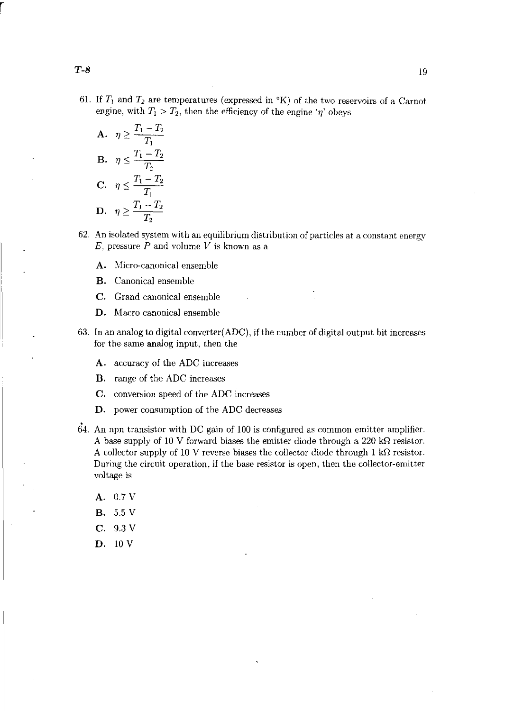61. If  $T_1$  and  $T_2$  are temperatures (expressed in  $\alpha$ K) of the two reservoirs of a Carnot engine, with  $T_1 > T_2$ , then the efficiency of the engine ' $\eta$ ' obeys

A. 
$$
\eta \geq \frac{T_1 - T_2}{T_1}
$$
  
\nB. 
$$
\eta \leq \frac{T_1 - T_2}{T_2}
$$
  
\nC. 
$$
\eta \leq \frac{T_1 - T_2}{T_1}
$$
  
\nD. 
$$
\eta \geq \frac{T_1 - T_2}{T_2}
$$

- 62. An isolated system with an equilibrium distribution of particles at a constant energy  $E$ , pressure  $P$  and volume  $V$  is known as a
	- A. Micro-canonical ensemble
	- B. Canonical ensemble
	- C. Grand canonical ensemble
	- D. Macro canonical ensemble
- 63. In an analog to digital converter(ADC), if the number of digital output bit increases for the same analog input, then the
	- A. accuracy of the ADC increases
	- B. range of the ADC increases
	- C. conversion speed of the ADC increases
	- D. power consumption of the ADC decreases
- . 64. An npn transistor with DC gain of 100 is configured as common emitter amplifier. A base supply of 10 V forward biases the emitter diode through a 220 k $\Omega$  resistor. A collector supply of 10 V reverse biases the collector diode through 1 k $\Omega$  resistor. During the circuit operation, if the base resistor is open, then the collector-emitter voltage is
	- A. 0.7V B. 5.5 V
	- C. 9.3 V
	- D. 10 V

r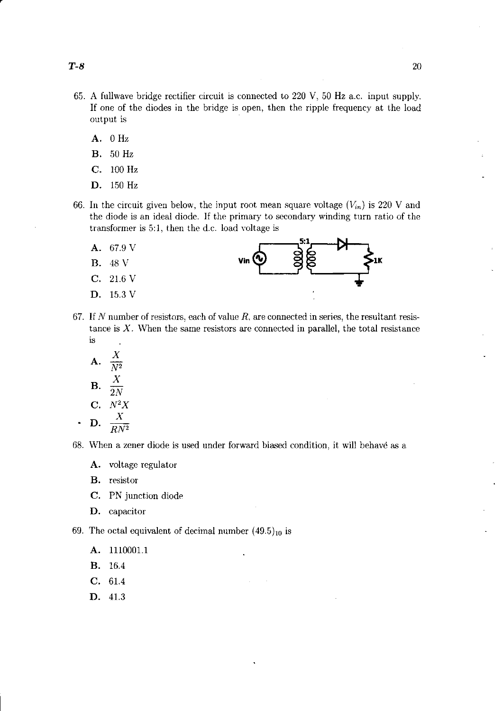- 65. A fullwave bridge rectifier circuit is connected to 220 V, 50 Hz a.c. input supply. If one of the diodes in the bridge is open, then the ripple frequency at the load output is
	- A. 0 Hz
	- B. 50 Hz
	- C. 100 Hz
	- D. 150 Hz
- 66. In the circuit given below, the input root mean square voltage  $(V_{in})$  is 220 V and the diode is an ideal diode. If the primary to secondary winding turn ratio of the transformer is 5:1, then the d.c. load voltage is
	- A. 67.9 V
	- B. 48 V
	- C. 21.6 V
	- D. 15.3 V



- 67. If N number of resistors, each of value  $R$ , are connected in series, the resultant resistance is  $X$ . When the same resistors are connected in parallel, the total resistance is  $\ddot{\phantom{a}}$ 
	- A.  $\frac{X}{N^2}$ B.  $\frac{X}{2N}$ C. *N2X*  D. *<sup>X</sup>*

$$
\cdot \quad \mathbf{D.} \quad \frac{1}{RN^2}
$$

68. When a zener diode is used under forward biased condition, it will behave as a

- A. voltage regulator
- B. resistor
- C. PN junction diode
- D. capacitor

69. The octal equivalent of decimal number  $(49.5)_{10}$  is

- A. 111000l.1
- B. 16.4
- C. 61.4
- D. 41.3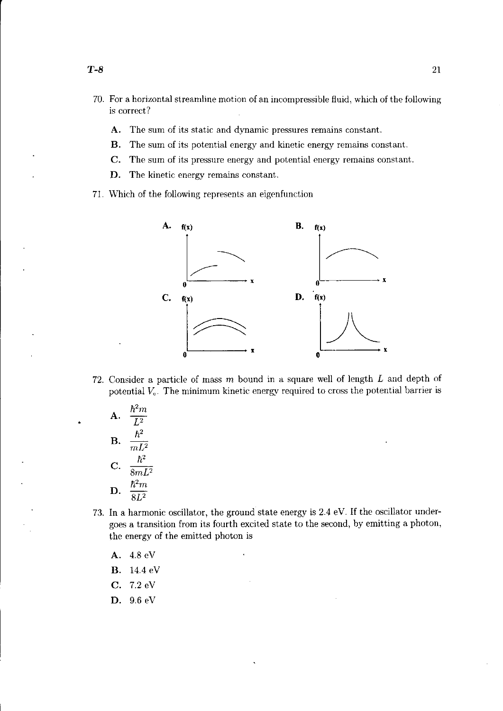- 70. For a horizontal streamline motion of an incompressible fluid, which of the following is correct?
	- A. The sum of its static and dynamic pressures remains constant.
	- B. The sum of its potential energy and kinetic energy remains constant.
	- C. The sum of its pressure energy and potential energy remains constant.
	- D. The kinetic energy remains constant.
- 71. Which of the following represents an eigenfunction



72. Consider a particle of mass  $m$  bound in a square well of length  $L$  and depth of potential  $V<sub>o</sub>$ . The minimum kinetic energy required to cross the potential barrier is

A. 
$$
\frac{\hbar^2 m}{L^2}
$$
  
B. 
$$
\frac{\hbar^2}{m L^2}
$$
  
C. 
$$
\frac{\hbar^2}{8m L^2}
$$
  
D. 
$$
\frac{\hbar^2 m}{8L^2}
$$

- 73. In a harmonic oscillator, the ground state energy is 2.4 eV. If the oscillator undergoes a transition from its fourth excited state to the second, by emitting a photon, the energy of the emitted photon is
	- A. 4.8 eV
	- B. 14.4 eV
	- C. 7.2 eV
	- D. 9.6 eV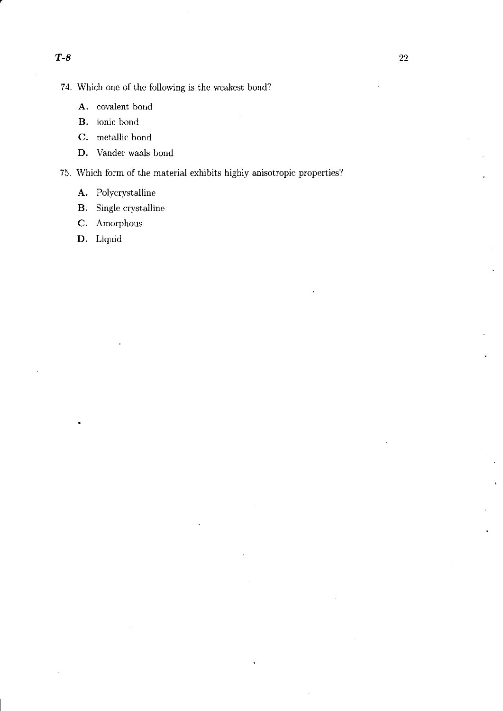74. Which one of the following is the weakest bond?

- A. covalent bond
- B. ionic bond
- C. metallic bond
- D. Vander waals bond

75. Which form of the material exhibits highly anisotropic properties?

- A. Polycrystalline
- B. Single crystalline
- C. Amorphous
- D. Liquid